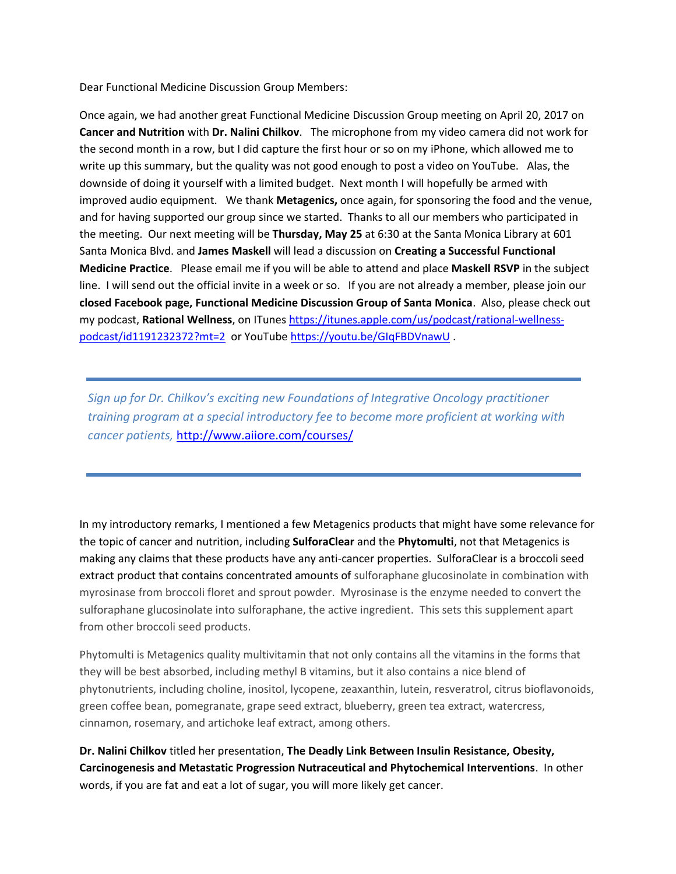Dear Functional Medicine Discussion Group Members:

Once again, we had another great Functional Medicine Discussion Group meeting on April 20, 2017 on **Cancer and Nutrition** with **Dr. Nalini Chilkov**. The microphone from my video camera did not work for the second month in a row, but I did capture the first hour or so on my iPhone, which allowed me to write up this summary, but the quality was not good enough to post a video on YouTube. Alas, the downside of doing it yourself with a limited budget. Next month I will hopefully be armed with improved audio equipment. We thank **Metagenics,** once again, for sponsoring the food and the venue, and for having supported our group since we started. Thanks to all our members who participated in the meeting. Our next meeting will be **Thursday, May 25** at 6:30 at the Santa Monica Library at 601 Santa Monica Blvd. and **James Maskell** will lead a discussion on **Creating a Successful Functional Medicine Practice**. Please email me if you will be able to attend and place **Maskell RSVP** in the subject line. I will send out the official invite in a week or so. If you are not already a member, please join our **closed Facebook page, Functional Medicine Discussion Group of Santa Monica**. Also, please check out my podcast, **Rational Wellness**, on ITunes [https://itunes.apple.com/us/podcast/rational-wellness](https://itunes.apple.com/us/podcast/rational-wellness-podcast/id1191232372?mt=2)[podcast/id1191232372?mt=2](https://itunes.apple.com/us/podcast/rational-wellness-podcast/id1191232372?mt=2) or YouTube <https://youtu.be/GIqFBDVnawU> .

*Sign up for Dr. Chilkov's exciting new Foundations of Integrative Oncology practitioner training program at a special introductory fee to become more proficient at working with cancer patients,* <http://www.aiiore.com/courses/>

In my introductory remarks, I mentioned a few Metagenics products that might have some relevance for the topic of cancer and nutrition, including **SulforaClear** and the **Phytomulti**, not that Metagenics is making any claims that these products have any anti-cancer properties. SulforaClear is a broccoli seed extract product that contains concentrated amounts of sulforaphane glucosinolate in combination with myrosinase from broccoli floret and sprout powder. Myrosinase is the enzyme needed to convert the sulforaphane glucosinolate into sulforaphane, the active ingredient. This sets this supplement apart from other broccoli seed products.

Phytomulti is Metagenics quality multivitamin that not only contains all the vitamins in the forms that they will be best absorbed, including methyl B vitamins, but it also contains a nice blend of phytonutrients, including choline, inositol, lycopene, zeaxanthin, lutein, resveratrol, citrus bioflavonoids, green coffee bean, pomegranate, grape seed extract, blueberry, green tea extract, watercress, cinnamon, rosemary, and artichoke leaf extract, among others.

**Dr. Nalini Chilkov** titled her presentation, **The Deadly Link Between Insulin Resistance, Obesity, Carcinogenesis and Metastatic Progression Nutraceutical and Phytochemical Interventions**. In other words, if you are fat and eat a lot of sugar, you will more likely get cancer.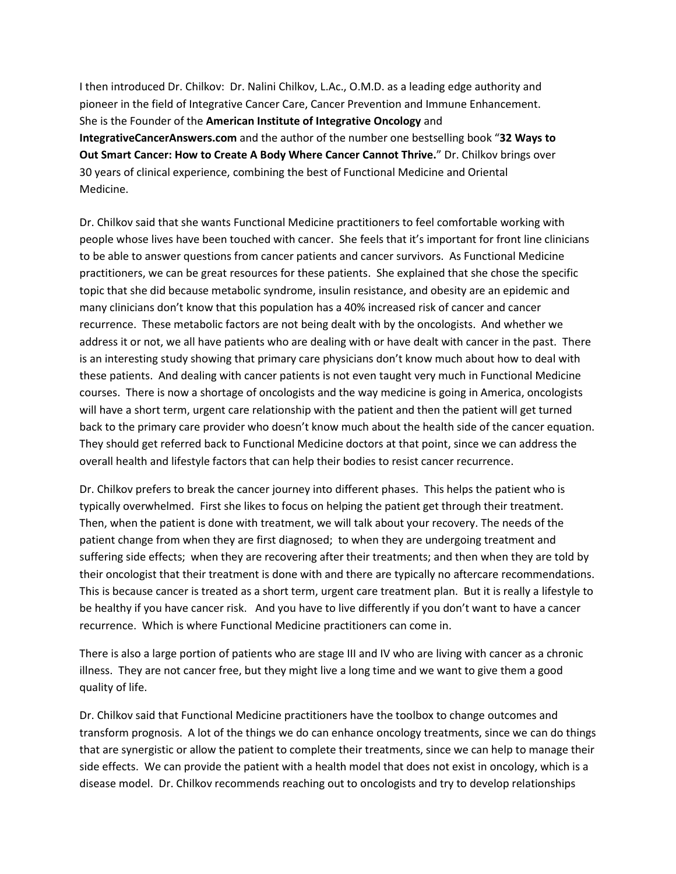I then introduced Dr. Chilkov: Dr. Nalini Chilkov, L.Ac., O.M.D. as a leading edge authority and pioneer in the field of Integrative Cancer Care, Cancer Prevention and Immune Enhancement. She is the Founder of the **American Institute of Integrative Oncology** and **IntegrativeCancerAnswers.com** and the author of the number one bestselling book "**32 Ways to Out Smart Cancer: How to Create A Body Where Cancer Cannot Thrive.**" Dr. Chilkov brings over 30 years of clinical experience, combining the best of Functional Medicine and Oriental Medicine.

Dr. Chilkov said that she wants Functional Medicine practitioners to feel comfortable working with people whose lives have been touched with cancer. She feels that it's important for front line clinicians to be able to answer questions from cancer patients and cancer survivors. As Functional Medicine practitioners, we can be great resources for these patients. She explained that she chose the specific topic that she did because metabolic syndrome, insulin resistance, and obesity are an epidemic and many clinicians don't know that this population has a 40% increased risk of cancer and cancer recurrence. These metabolic factors are not being dealt with by the oncologists. And whether we address it or not, we all have patients who are dealing with or have dealt with cancer in the past. There is an interesting study showing that primary care physicians don't know much about how to deal with these patients. And dealing with cancer patients is not even taught very much in Functional Medicine courses. There is now a shortage of oncologists and the way medicine is going in America, oncologists will have a short term, urgent care relationship with the patient and then the patient will get turned back to the primary care provider who doesn't know much about the health side of the cancer equation. They should get referred back to Functional Medicine doctors at that point, since we can address the overall health and lifestyle factors that can help their bodies to resist cancer recurrence.

Dr. Chilkov prefers to break the cancer journey into different phases. This helps the patient who is typically overwhelmed. First she likes to focus on helping the patient get through their treatment. Then, when the patient is done with treatment, we will talk about your recovery. The needs of the patient change from when they are first diagnosed; to when they are undergoing treatment and suffering side effects; when they are recovering after their treatments; and then when they are told by their oncologist that their treatment is done with and there are typically no aftercare recommendations. This is because cancer is treated as a short term, urgent care treatment plan. But it is really a lifestyle to be healthy if you have cancer risk. And you have to live differently if you don't want to have a cancer recurrence. Which is where Functional Medicine practitioners can come in.

There is also a large portion of patients who are stage III and IV who are living with cancer as a chronic illness. They are not cancer free, but they might live a long time and we want to give them a good quality of life.

Dr. Chilkov said that Functional Medicine practitioners have the toolbox to change outcomes and transform prognosis. A lot of the things we do can enhance oncology treatments, since we can do things that are synergistic or allow the patient to complete their treatments, since we can help to manage their side effects. We can provide the patient with a health model that does not exist in oncology, which is a disease model. Dr. Chilkov recommends reaching out to oncologists and try to develop relationships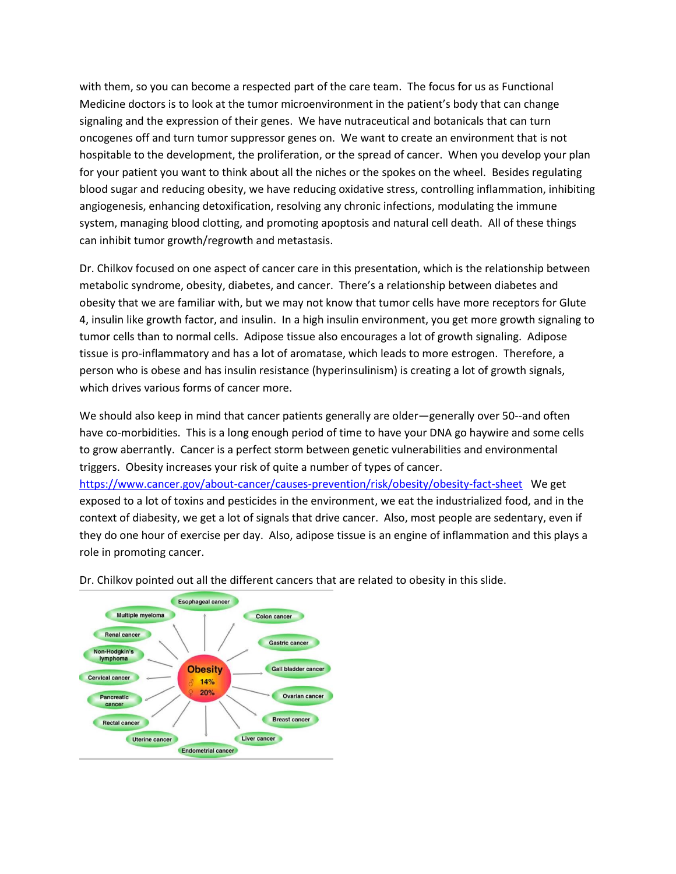with them, so you can become a respected part of the care team. The focus for us as Functional Medicine doctors is to look at the tumor microenvironment in the patient's body that can change signaling and the expression of their genes. We have nutraceutical and botanicals that can turn oncogenes off and turn tumor suppressor genes on. We want to create an environment that is not hospitable to the development, the proliferation, or the spread of cancer. When you develop your plan for your patient you want to think about all the niches or the spokes on the wheel. Besides regulating blood sugar and reducing obesity, we have reducing oxidative stress, controlling inflammation, inhibiting angiogenesis, enhancing detoxification, resolving any chronic infections, modulating the immune system, managing blood clotting, and promoting apoptosis and natural cell death. All of these things can inhibit tumor growth/regrowth and metastasis.

Dr. Chilkov focused on one aspect of cancer care in this presentation, which is the relationship between metabolic syndrome, obesity, diabetes, and cancer. There's a relationship between diabetes and obesity that we are familiar with, but we may not know that tumor cells have more receptors for Glute 4, insulin like growth factor, and insulin. In a high insulin environment, you get more growth signaling to tumor cells than to normal cells. Adipose tissue also encourages a lot of growth signaling. Adipose tissue is pro-inflammatory and has a lot of aromatase, which leads to more estrogen. Therefore, a person who is obese and has insulin resistance (hyperinsulinism) is creating a lot of growth signals, which drives various forms of cancer more.

We should also keep in mind that cancer patients generally are older—generally over 50--and often have co-morbidities. This is a long enough period of time to have your DNA go haywire and some cells to grow aberrantly. Cancer is a perfect storm between genetic vulnerabilities and environmental triggers. Obesity increases your risk of quite a number of types of cancer.

<https://www.cancer.gov/about-cancer/causes-prevention/risk/obesity/obesity-fact-sheet>We get exposed to a lot of toxins and pesticides in the environment, we eat the industrialized food, and in the context of diabesity, we get a lot of signals that drive cancer. Also, most people are sedentary, even if they do one hour of exercise per day. Also, adipose tissue is an engine of inflammation and this plays a role in promoting cancer.



Dr. Chilkov pointed out all the different cancers that are related to obesity in this slide.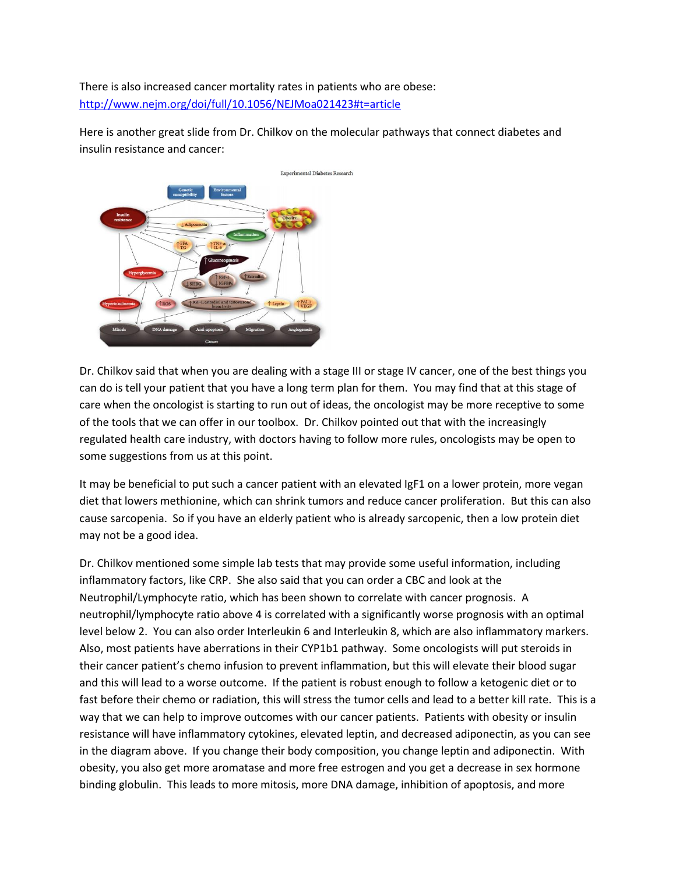There is also increased cancer mortality rates in patients who are obese: <http://www.nejm.org/doi/full/10.1056/NEJMoa021423#t=article>

Here is another great slide from Dr. Chilkov on the molecular pathways that connect diabetes and insulin resistance and cancer:



Dr. Chilkov said that when you are dealing with a stage III or stage IV cancer, one of the best things you can do is tell your patient that you have a long term plan for them. You may find that at this stage of care when the oncologist is starting to run out of ideas, the oncologist may be more receptive to some of the tools that we can offer in our toolbox. Dr. Chilkov pointed out that with the increasingly regulated health care industry, with doctors having to follow more rules, oncologists may be open to some suggestions from us at this point.

It may be beneficial to put such a cancer patient with an elevated IgF1 on a lower protein, more vegan diet that lowers methionine, which can shrink tumors and reduce cancer proliferation. But this can also cause sarcopenia. So if you have an elderly patient who is already sarcopenic, then a low protein diet may not be a good idea.

Dr. Chilkov mentioned some simple lab tests that may provide some useful information, including inflammatory factors, like CRP. She also said that you can order a CBC and look at the Neutrophil/Lymphocyte ratio, which has been shown to correlate with cancer prognosis. A neutrophil/lymphocyte ratio above 4 is correlated with a significantly worse prognosis with an optimal level below 2. You can also order Interleukin 6 and Interleukin 8, which are also inflammatory markers. Also, most patients have aberrations in their CYP1b1 pathway. Some oncologists will put steroids in their cancer patient's chemo infusion to prevent inflammation, but this will elevate their blood sugar and this will lead to a worse outcome. If the patient is robust enough to follow a ketogenic diet or to fast before their chemo or radiation, this will stress the tumor cells and lead to a better kill rate. This is a way that we can help to improve outcomes with our cancer patients. Patients with obesity or insulin resistance will have inflammatory cytokines, elevated leptin, and decreased adiponectin, as you can see in the diagram above. If you change their body composition, you change leptin and adiponectin. With obesity, you also get more aromatase and more free estrogen and you get a decrease in sex hormone binding globulin. This leads to more mitosis, more DNA damage, inhibition of apoptosis, and more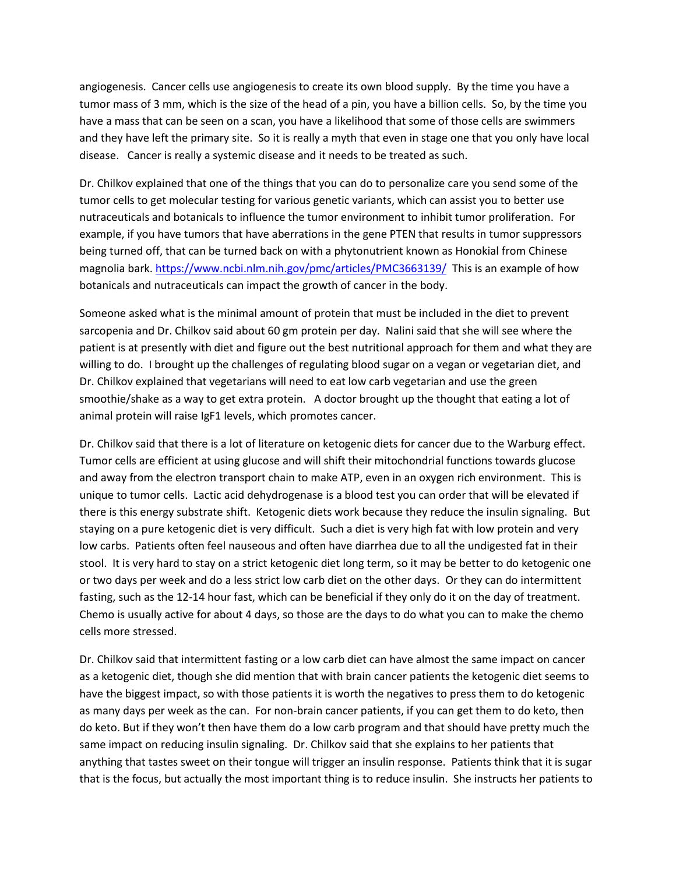angiogenesis. Cancer cells use angiogenesis to create its own blood supply. By the time you have a tumor mass of 3 mm, which is the size of the head of a pin, you have a billion cells. So, by the time you have a mass that can be seen on a scan, you have a likelihood that some of those cells are swimmers and they have left the primary site. So it is really a myth that even in stage one that you only have local disease. Cancer is really a systemic disease and it needs to be treated as such.

Dr. Chilkov explained that one of the things that you can do to personalize care you send some of the tumor cells to get molecular testing for various genetic variants, which can assist you to better use nutraceuticals and botanicals to influence the tumor environment to inhibit tumor proliferation. For example, if you have tumors that have aberrations in the gene PTEN that results in tumor suppressors being turned off, that can be turned back on with a phytonutrient known as Honokial from Chinese magnolia bark.<https://www.ncbi.nlm.nih.gov/pmc/articles/PMC3663139/> This is an example of how botanicals and nutraceuticals can impact the growth of cancer in the body.

Someone asked what is the minimal amount of protein that must be included in the diet to prevent sarcopenia and Dr. Chilkov said about 60 gm protein per day. Nalini said that she will see where the patient is at presently with diet and figure out the best nutritional approach for them and what they are willing to do. I brought up the challenges of regulating blood sugar on a vegan or vegetarian diet, and Dr. Chilkov explained that vegetarians will need to eat low carb vegetarian and use the green smoothie/shake as a way to get extra protein. A doctor brought up the thought that eating a lot of animal protein will raise IgF1 levels, which promotes cancer.

Dr. Chilkov said that there is a lot of literature on ketogenic diets for cancer due to the Warburg effect. Tumor cells are efficient at using glucose and will shift their mitochondrial functions towards glucose and away from the electron transport chain to make ATP, even in an oxygen rich environment. This is unique to tumor cells. Lactic acid dehydrogenase is a blood test you can order that will be elevated if there is this energy substrate shift. Ketogenic diets work because they reduce the insulin signaling. But staying on a pure ketogenic diet is very difficult. Such a diet is very high fat with low protein and very low carbs. Patients often feel nauseous and often have diarrhea due to all the undigested fat in their stool. It is very hard to stay on a strict ketogenic diet long term, so it may be better to do ketogenic one or two days per week and do a less strict low carb diet on the other days. Or they can do intermittent fasting, such as the 12-14 hour fast, which can be beneficial if they only do it on the day of treatment. Chemo is usually active for about 4 days, so those are the days to do what you can to make the chemo cells more stressed.

Dr. Chilkov said that intermittent fasting or a low carb diet can have almost the same impact on cancer as a ketogenic diet, though she did mention that with brain cancer patients the ketogenic diet seems to have the biggest impact, so with those patients it is worth the negatives to press them to do ketogenic as many days per week as the can. For non-brain cancer patients, if you can get them to do keto, then do keto. But if they won't then have them do a low carb program and that should have pretty much the same impact on reducing insulin signaling. Dr. Chilkov said that she explains to her patients that anything that tastes sweet on their tongue will trigger an insulin response. Patients think that it is sugar that is the focus, but actually the most important thing is to reduce insulin. She instructs her patients to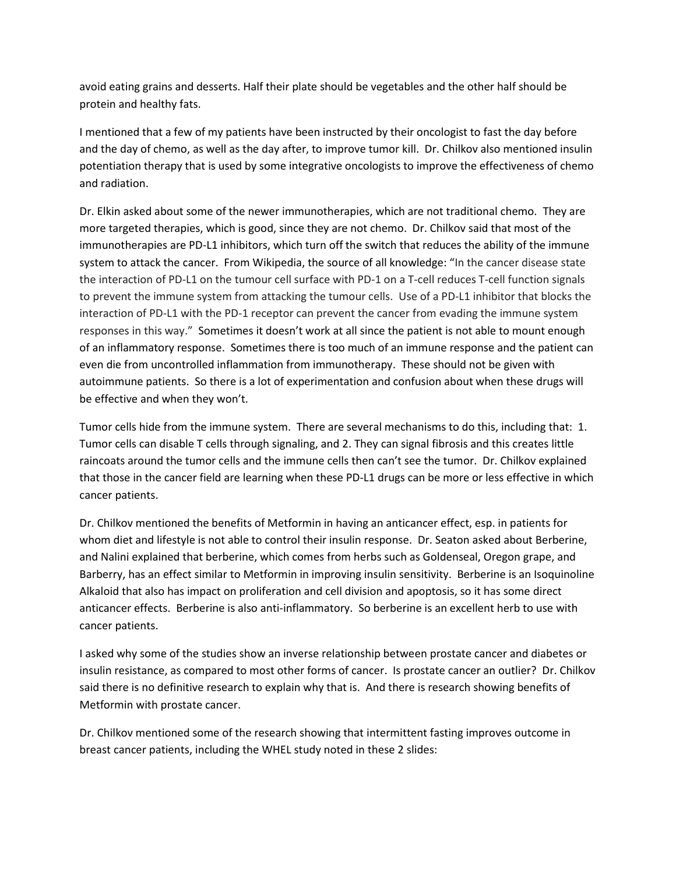avoid eating grains and desserts. Half their plate should be vegetables and the other half should be protein and healthy fats.

I mentioned that a few of my patients have been instructed by their oncologist to fast the day before and the day of chemo, as well as the day after, to improve tumor kill. Dr. Chilkov also mentioned insulin potentiation therapy that is used by some integrative oncologists to improve the effectiveness of chemo and radiation.

Dr. Elkin asked about some of the newer immunotherapies, which are not traditional chemo. They are more targeted therapies, which is good, since they are not chemo. Dr. Chilkov said that most of the immunotherapies are PD-L1 inhibitors, which turn off the switch that reduces the ability of the immune system to attack the cancer. From Wikipedia, the source of all knowledge: "In the cancer disease state the interaction of PD-L1 on the tumour cell surface with PD-1 on a T-cell reduces T-cell function signals to prevent the immune system from attacking the tumour cells. Use of a PD-L1 inhibitor that blocks the interaction of PD-L1 with the PD-1 receptor can prevent the cancer from evading the immune system responses in this way." Sometimes it doesn't work at all since the patient is not able to mount enough of an inflammatory response. Sometimes there is too much of an immune response and the patient can even die from uncontrolled inflammation from immunotherapy. These should not be given with autoimmune patients. So there is a lot of experimentation and confusion about when these drugs will be effective and when they won't.

Tumor cells hide from the immune system. There are several mechanisms to do this, including that: 1. Tumor cells can disable T cells through signaling, and 2. They can signal fibrosis and this creates little raincoats around the tumor cells and the immune cells then can't see the tumor. Dr. Chilkov explained that those in the cancer field are learning when these PD-L1 drugs can be more or less effective in which cancer patients.

Dr. Chilkov mentioned the benefits of Metformin in having an anticancer effect, esp. in patients for whom diet and lifestyle is not able to control their insulin response. Dr. Seaton asked about Berberine, and Nalini explained that berberine, which comes from herbs such as Goldenseal, Oregon grape, and Barberry, has an effect similar to Metformin in improving insulin sensitivity. Berberine is an Isoquinoline Alkaloid that also has impact on proliferation and cell division and apoptosis, so it has some direct anticancer effects. Berberine is also anti-inflammatory. So berberine is an excellent herb to use with cancer patients.

I asked why some of the studies show an inverse relationship between prostate cancer and diabetes or insulin resistance, as compared to most other forms of cancer. Is prostate cancer an outlier? Dr. Chilkov said there is no definitive research to explain why that is. And there is research showing benefits of Metformin with prostate cancer.

Dr. Chilkov mentioned some of the research showing that intermittent fasting improves outcome in breast cancer patients, including the WHEL study noted in these 2 slides: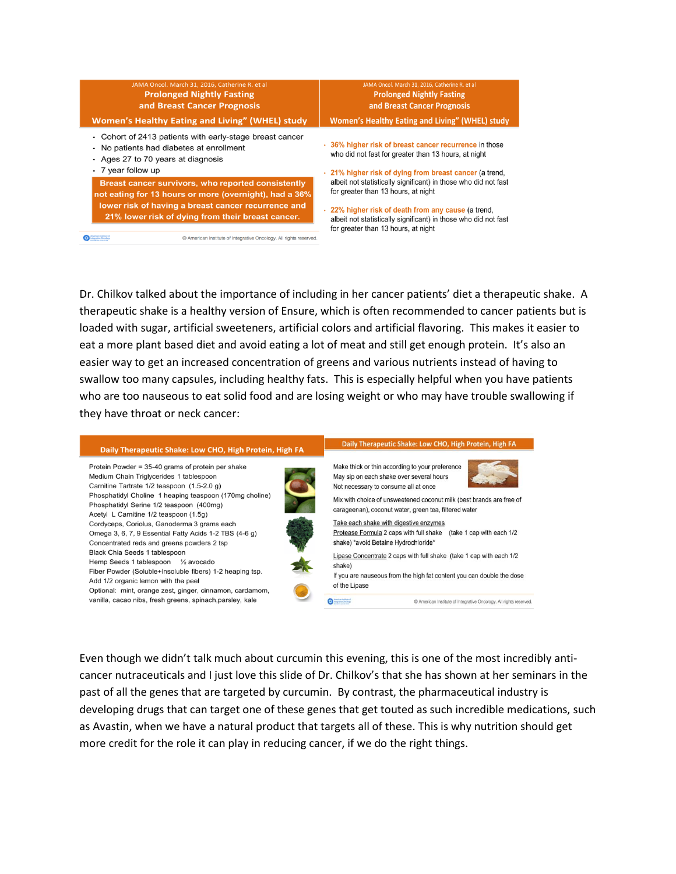| JAMA Oncol. March 31, 2016, Catherine R. et al<br><b>Prolonged Nightly Fasting</b><br>and Breast Cancer Prognosis<br><b>Women's Healthy Eating and Living" (WHEL) study</b>                                              |                                                                   | JAMA Oncol. March 31, 2016, Catherine R. et al<br><b>Prolonged Nightly Fasting</b><br>and Breast Cancer Prognosis<br>Women's Healthy Eating and Living" (WHEL) study                                                                                                    |  |
|--------------------------------------------------------------------------------------------------------------------------------------------------------------------------------------------------------------------------|-------------------------------------------------------------------|-------------------------------------------------------------------------------------------------------------------------------------------------------------------------------------------------------------------------------------------------------------------------|--|
| • Cohort of 2413 patients with early-stage breast cancer<br>• No patients had diabetes at enrollment<br>• Ages 27 to 70 years at diagnosis<br>$\cdot$ 7 year follow up                                                   |                                                                   | • 36% higher risk of breast cancer recurrence in those<br>who did not fast for greater than 13 hours, at night<br>. 21% higher risk of dying from breast cancer (a trend.                                                                                               |  |
| Breast cancer survivors, who reported consistently<br>not eating for 13 hours or more (overnight), had a 36%<br>lower risk of having a breast cancer recurrence and<br>21% lower risk of dying from their breast cancer. |                                                                   | albeit not statistically significant) in those who did not fast<br>for greater than 13 hours, at night<br>. 22% higher risk of death from any cause (a trend,<br>albeit not statistically significant) in those who did not fast<br>for greater than 13 hours, at night |  |
| <b>American Institute of</b><br>Integrative Oncology                                                                                                                                                                     | @ American Institute of Integrative Oncology, All rights reserved |                                                                                                                                                                                                                                                                         |  |

Dr. Chilkov talked about the importance of including in her cancer patients' diet a therapeutic shake. A therapeutic shake is a healthy version of Ensure, which is often recommended to cancer patients but is loaded with sugar, artificial sweeteners, artificial colors and artificial flavoring. This makes it easier to eat a more plant based diet and avoid eating a lot of meat and still get enough protein. It's also an easier way to get an increased concentration of greens and various nutrients instead of having to swallow too many capsules, including healthy fats. This is especially helpful when you have patients who are too nauseous to eat solid food and are losing weight or who may have trouble swallowing if they have throat or neck cancer:



Even though we didn't talk much about curcumin this evening, this is one of the most incredibly anticancer nutraceuticals and I just love this slide of Dr. Chilkov's that she has shown at her seminars in the past of all the genes that are targeted by curcumin. By contrast, the pharmaceutical industry is developing drugs that can target one of these genes that get touted as such incredible medications, such as Avastin, when we have a natural product that targets all of these. This is why nutrition should get more credit for the role it can play in reducing cancer, if we do the right things.